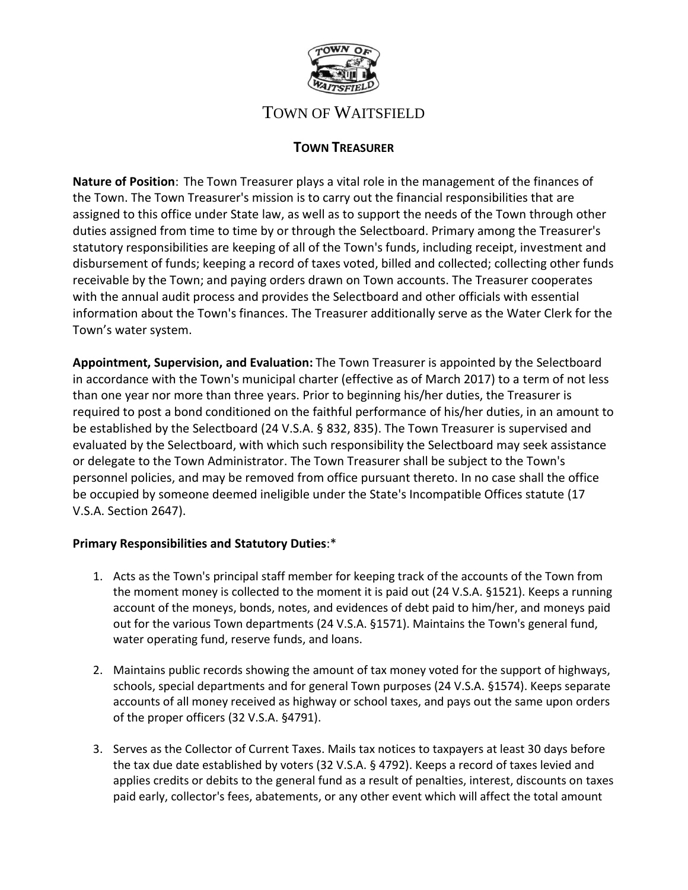

# TOWN OF WAITSFIELD

## **TOWN TREASURER**

**Nature of Position**: The Town Treasurer plays a vital role in the management of the finances of the Town. The Town Treasurer's mission is to carry out the financial responsibilities that are assigned to this office under State law, as well as to support the needs of the Town through other duties assigned from time to time by or through the Selectboard. Primary among the Treasurer's statutory responsibilities are keeping of all of the Town's funds, including receipt, investment and disbursement of funds; keeping a record of taxes voted, billed and collected; collecting other funds receivable by the Town; and paying orders drawn on Town accounts. The Treasurer cooperates with the annual audit process and provides the Selectboard and other officials with essential information about the Town's finances. The Treasurer additionally serve as the Water Clerk for the Town's water system.

**Appointment, Supervision, and Evaluation:** The Town Treasurer is appointed by the Selectboard in accordance with the Town's municipal charter (effective as of March 2017) to a term of not less than one year nor more than three years. Prior to beginning his/her duties, the Treasurer is required to post a bond conditioned on the faithful performance of his/her duties, in an amount to be established by the Selectboard (24 V.S.A. § 832, 835). The Town Treasurer is supervised and evaluated by the Selectboard, with which such responsibility the Selectboard may seek assistance or delegate to the Town Administrator. The Town Treasurer shall be subject to the Town's personnel policies, and may be removed from office pursuant thereto. In no case shall the office be occupied by someone deemed ineligible under the State's Incompatible Offices statute (17 V.S.A. Section 2647).

### **Primary Responsibilities and Statutory Duties**:\*

- 1. Acts as the Town's principal staff member for keeping track of the accounts of the Town from the moment money is collected to the moment it is paid out (24 V.S.A. §1521). Keeps a running account of the moneys, bonds, notes, and evidences of debt paid to him/her, and moneys paid out for the various Town departments (24 V.S.A. §1571). Maintains the Town's general fund, water operating fund, reserve funds, and loans.
- 2. Maintains public records showing the amount of tax money voted for the support of highways, schools, special departments and for general Town purposes (24 V.S.A. §1574). Keeps separate accounts of all money received as highway or school taxes, and pays out the same upon orders of the proper officers (32 V.S.A. §4791).
- 3. Serves as the Collector of Current Taxes. Mails tax notices to taxpayers at least 30 days before the tax due date established by voters (32 V.S.A. § 4792). Keeps a record of taxes levied and applies credits or debits to the general fund as a result of penalties, interest, discounts on taxes paid early, collector's fees, abatements, or any other event which will affect the total amount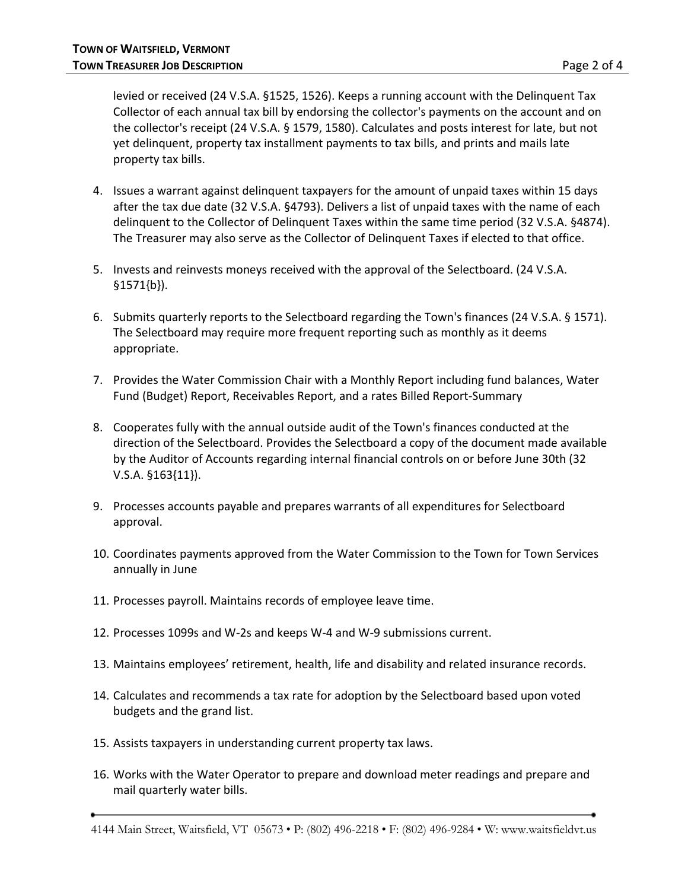levied or received (24 V.S.A. §1525, 1526). Keeps a running account with the Delinquent Tax Collector of each annual tax bill by endorsing the collector's payments on the account and on the collector's receipt (24 V.S.A. § 1579, 1580). Calculates and posts interest for late, but not yet delinquent, property tax installment payments to tax bills, and prints and mails late property tax bills.

- 4. Issues a warrant against delinquent taxpayers for the amount of unpaid taxes within 15 days after the tax due date (32 V.S.A. §4793). Delivers a list of unpaid taxes with the name of each delinquent to the Collector of Delinquent Taxes within the same time period (32 V.S.A. §4874). The Treasurer may also serve as the Collector of Delinquent Taxes if elected to that office.
- 5. Invests and reinvests moneys received with the approval of the Selectboard. (24 V.S.A. §1571{b}).
- 6. Submits quarterly reports to the Selectboard regarding the Town's finances (24 V.S.A. § 1571). The Selectboard may require more frequent reporting such as monthly as it deems appropriate.
- 7. Provides the Water Commission Chair with a Monthly Report including fund balances, Water Fund (Budget) Report, Receivables Report, and a rates Billed Report-Summary
- 8. Cooperates fully with the annual outside audit of the Town's finances conducted at the direction of the Selectboard. Provides the Selectboard a copy of the document made available by the Auditor of Accounts regarding internal financial controls on or before June 30th (32 V.S.A. §163{11}).
- 9. Processes accounts payable and prepares warrants of all expenditures for Selectboard approval.
- 10. Coordinates payments approved from the Water Commission to the Town for Town Services annually in June
- 11. Processes payroll. Maintains records of employee leave time.
- 12. Processes 1099s and W-2s and keeps W-4 and W-9 submissions current.
- 13. Maintains employees' retirement, health, life and disability and related insurance records.
- 14. Calculates and recommends a tax rate for adoption by the Selectboard based upon voted budgets and the grand list.
- 15. Assists taxpayers in understanding current property tax laws.
- 16. Works with the Water Operator to prepare and download meter readings and prepare and mail quarterly water bills.

<sup>4144</sup> Main Street, Waitsfield, VT 05673 • P: (802) 496-2218 • F: (802) 496-9284 • W: www.waitsfieldvt.us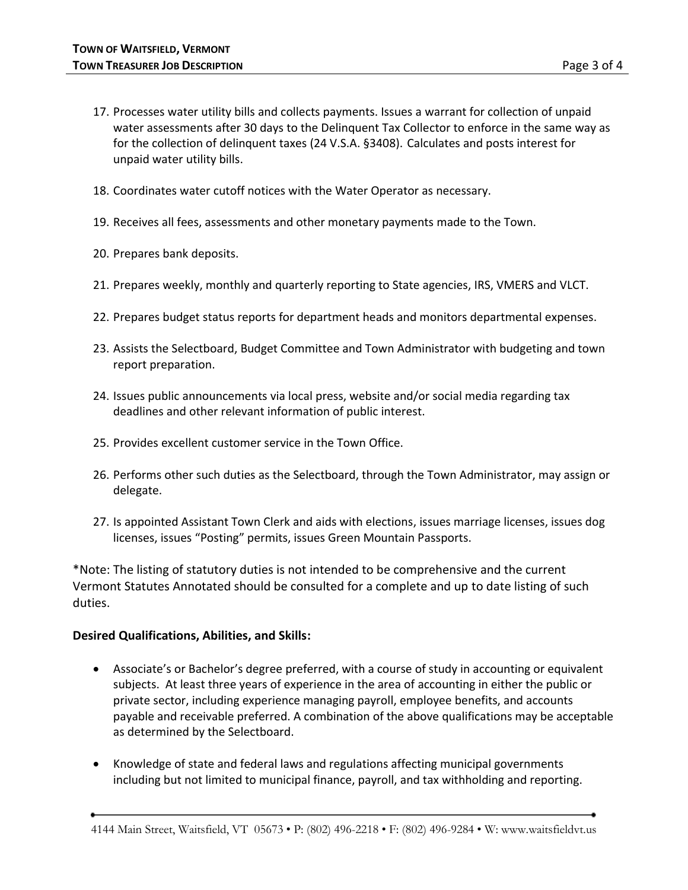- 17. Processes water utility bills and collects payments. Issues a warrant for collection of unpaid water assessments after 30 days to the Delinquent Tax Collector to enforce in the same way as for the collection of delinquent taxes (24 V.S.A. §3408). Calculates and posts interest for unpaid water utility bills.
- 18. Coordinates water cutoff notices with the Water Operator as necessary.
- 19. Receives all fees, assessments and other monetary payments made to the Town.
- 20. Prepares bank deposits.
- 21. Prepares weekly, monthly and quarterly reporting to State agencies, IRS, VMERS and VLCT.
- 22. Prepares budget status reports for department heads and monitors departmental expenses.
- 23. Assists the Selectboard, Budget Committee and Town Administrator with budgeting and town report preparation.
- 24. Issues public announcements via local press, website and/or social media regarding tax deadlines and other relevant information of public interest.
- 25. Provides excellent customer service in the Town Office.
- 26. Performs other such duties as the Selectboard, through the Town Administrator, may assign or delegate.
- 27. Is appointed Assistant Town Clerk and aids with elections, issues marriage licenses, issues dog licenses, issues "Posting" permits, issues Green Mountain Passports.

\*Note: The listing of statutory duties is not intended to be comprehensive and the current Vermont Statutes Annotated should be consulted for a complete and up to date listing of such duties.

#### **Desired Qualifications, Abilities, and Skills:**

- Associate's or Bachelor's degree preferred, with a course of study in accounting or equivalent subjects. At least three years of experience in the area of accounting in either the public or private sector, including experience managing payroll, employee benefits, and accounts payable and receivable preferred. A combination of the above qualifications may be acceptable as determined by the Selectboard.
- Knowledge of state and federal laws and regulations affecting municipal governments including but not limited to municipal finance, payroll, and tax withholding and reporting.